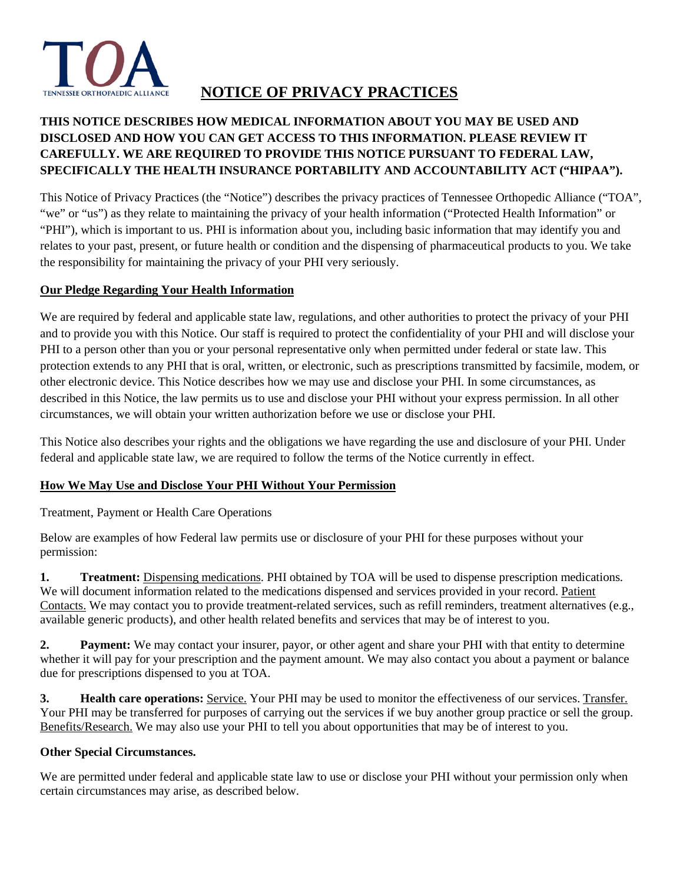

# **NOTICE OF PRIVACY PRACTICES**

# **THIS NOTICE DESCRIBES HOW MEDICAL INFORMATION ABOUT YOU MAY BE USED AND DISCLOSED AND HOW YOU CAN GET ACCESS TO THIS INFORMATION. PLEASE REVIEW IT CAREFULLY. WE ARE REQUIRED TO PROVIDE THIS NOTICE PURSUANT TO FEDERAL LAW, SPECIFICALLY THE HEALTH INSURANCE PORTABILITY AND ACCOUNTABILITY ACT ("HIPAA").**

This Notice of Privacy Practices (the "Notice") describes the privacy practices of Tennessee Orthopedic Alliance ("TOA", "we" or "us") as they relate to maintaining the privacy of your health information ("Protected Health Information" or "PHI"), which is important to us. PHI is information about you, including basic information that may identify you and relates to your past, present, or future health or condition and the dispensing of pharmaceutical products to you. We take the responsibility for maintaining the privacy of your PHI very seriously.

# **Our Pledge Regarding Your Health Information**

We are required by federal and applicable state law, regulations, and other authorities to protect the privacy of your PHI and to provide you with this Notice. Our staff is required to protect the confidentiality of your PHI and will disclose your PHI to a person other than you or your personal representative only when permitted under federal or state law. This protection extends to any PHI that is oral, written, or electronic, such as prescriptions transmitted by facsimile, modem, or other electronic device. This Notice describes how we may use and disclose your PHI. In some circumstances, as described in this Notice, the law permits us to use and disclose your PHI without your express permission. In all other circumstances, we will obtain your written authorization before we use or disclose your PHI.

This Notice also describes your rights and the obligations we have regarding the use and disclosure of your PHI. Under federal and applicable state law, we are required to follow the terms of the Notice currently in effect.

# **How We May Use and Disclose Your PHI Without Your Permission**

Treatment, Payment or Health Care Operations

Below are examples of how Federal law permits use or disclosure of your PHI for these purposes without your permission:

**1. Treatment:** Dispensing medications. PHI obtained by TOA will be used to dispense prescription medications. We will document information related to the medications dispensed and services provided in your record. Patient Contacts. We may contact you to provide treatment-related services, such as refill reminders, treatment alternatives (e.g., available generic products), and other health related benefits and services that may be of interest to you.

**2. Payment:** We may contact your insurer, payor, or other agent and share your PHI with that entity to determine whether it will pay for your prescription and the payment amount. We may also contact you about a payment or balance due for prescriptions dispensed to you at TOA.

**3. Health care operations:** Service. Your PHI may be used to monitor the effectiveness of our services. Transfer. Your PHI may be transferred for purposes of carrying out the services if we buy another group practice or sell the group. Benefits/Research. We may also use your PHI to tell you about opportunities that may be of interest to you.

# **Other Special Circumstances.**

We are permitted under federal and applicable state law to use or disclose your PHI without your permission only when certain circumstances may arise, as described below.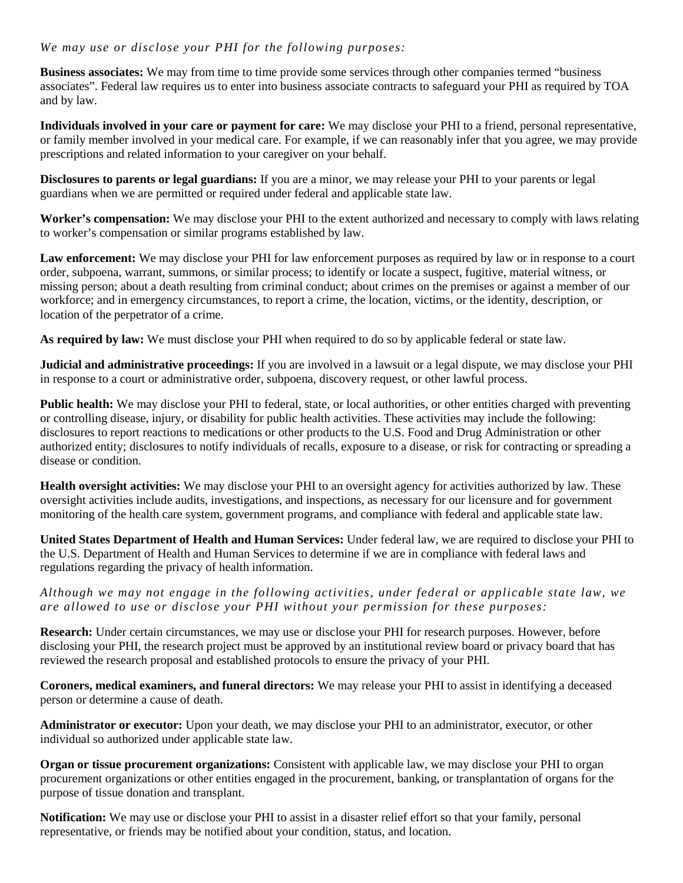#### *We may use or disclose your PHI for the following purposes:*

**Business associates:** We may from time to time provide some services through other companies termed "business associates". Federal law requires us to enter into business associate contracts to safeguard your PHI as required by TOA and by law.

**Individuals involved in your care or payment for care:** We may disclose your PHI to a friend, personal representative, or family member involved in your medical care. For example, if we can reasonably infer that you agree, we may provide prescriptions and related information to your caregiver on your behalf.

**Disclosures to parents or legal guardians:** If you are a minor, we may release your PHI to your parents or legal guardians when we are permitted or required under federal and applicable state law.

**Worker's compensation:** We may disclose your PHI to the extent authorized and necessary to comply with laws relating to worker's compensation or similar programs established by law.

**Law enforcement:** We may disclose your PHI for law enforcement purposes as required by law or in response to a court order, subpoena, warrant, summons, or similar process; to identify or locate a suspect, fugitive, material witness, or missing person; about a death resulting from criminal conduct; about crimes on the premises or against a member of our workforce; and in emergency circumstances, to report a crime, the location, victims, or the identity, description, or location of the perpetrator of a crime.

**As required by law:** We must disclose your PHI when required to do so by applicable federal or state law.

**Judicial and administrative proceedings:** If you are involved in a lawsuit or a legal dispute, we may disclose your PHI in response to a court or administrative order, subpoena, discovery request, or other lawful process.

Public health: We may disclose your PHI to federal, state, or local authorities, or other entities charged with preventing or controlling disease, injury, or disability for public health activities. These activities may include the following: disclosures to report reactions to medications or other products to the U.S. Food and Drug Administration or other authorized entity; disclosures to notify individuals of recalls, exposure to a disease, or risk for contracting or spreading a disease or condition.

**Health oversight activities:** We may disclose your PHI to an oversight agency for activities authorized by law. These oversight activities include audits, investigations, and inspections, as necessary for our licensure and for government monitoring of the health care system, government programs, and compliance with federal and applicable state law.

**United States Department of Health and Human Services:** Under federal law, we are required to disclose your PHI to the U.S. Department of Health and Human Services to determine if we are in compliance with federal laws and regulations regarding the privacy of health information.

*Although we may not engage in the following activities, under federal or applicable state law, we are allowed to use or disclose your PHI without your permission for these purposes:*

**Research:** Under certain circumstances, we may use or disclose your PHI for research purposes. However, before disclosing your PHI, the research project must be approved by an institutional review board or privacy board that has reviewed the research proposal and established protocols to ensure the privacy of your PHI.

**Coroners, medical examiners, and funeral directors:** We may release your PHI to assist in identifying a deceased person or determine a cause of death.

**Administrator or executor:** Upon your death, we may disclose your PHI to an administrator, executor, or other individual so authorized under applicable state law.

**Organ or tissue procurement organizations:** Consistent with applicable law, we may disclose your PHI to organ procurement organizations or other entities engaged in the procurement, banking, or transplantation of organs for the purpose of tissue donation and transplant.

**Notification:** We may use or disclose your PHI to assist in a disaster relief effort so that your family, personal representative, or friends may be notified about your condition, status, and location.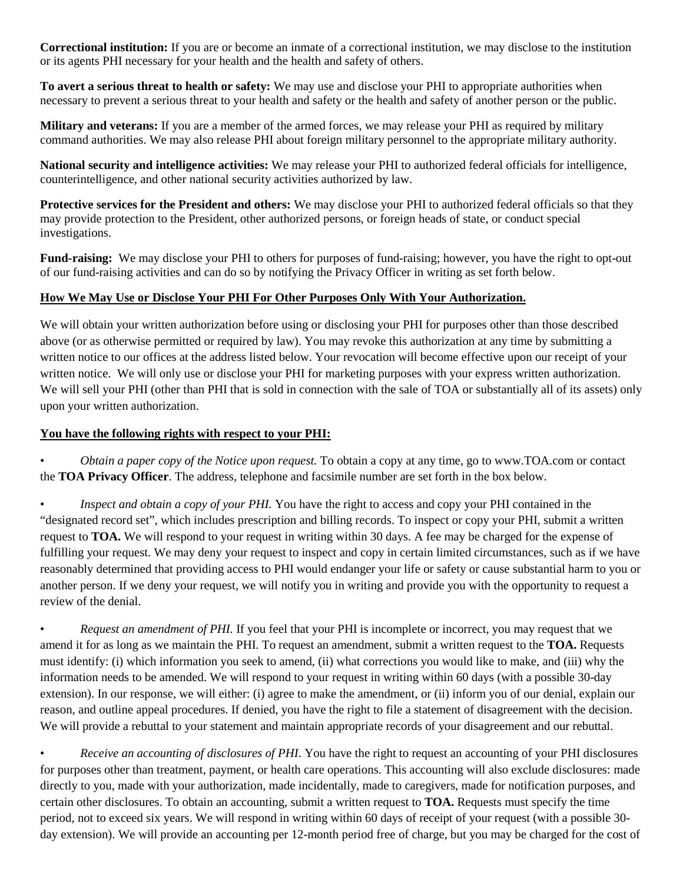**Correctional institution:** If you are or become an inmate of a correctional institution, we may disclose to the institution or its agents PHI necessary for your health and the health and safety of others.

**To avert a serious threat to health or safety:** We may use and disclose your PHI to appropriate authorities when necessary to prevent a serious threat to your health and safety or the health and safety of another person or the public.

**Military and veterans:** If you are a member of the armed forces, we may release your PHI as required by military command authorities. We may also release PHI about foreign military personnel to the appropriate military authority.

**National security and intelligence activities:** We may release your PHI to authorized federal officials for intelligence, counterintelligence, and other national security activities authorized by law.

**Protective services for the President and others:** We may disclose your PHI to authorized federal officials so that they may provide protection to the President, other authorized persons, or foreign heads of state, or conduct special investigations.

**Fund-raising:** We may disclose your PHI to others for purposes of fund-raising; however, you have the right to opt-out of our fund-raising activities and can do so by notifying the Privacy Officer in writing as set forth below.

# **How We May Use or Disclose Your PHI For Other Purposes Only With Your Authorization.**

We will obtain your written authorization before using or disclosing your PHI for purposes other than those described above (or as otherwise permitted or required by law). You may revoke this authorization at any time by submitting a written notice to our offices at the address listed below. Your revocation will become effective upon our receipt of your written notice. We will only use or disclose your PHI for marketing purposes with your express written authorization. We will sell your PHI (other than PHI that is sold in connection with the sale of TOA or substantially all of its assets) only upon your written authorization.

#### **You have the following rights with respect to your PHI:**

• *Obtain a paper copy of the Notice upon request.* To obtain a copy at any time, go to www.TOA.com or contact the **TOA Privacy Officer**. The address, telephone and facsimile number are set forth in the box below.

• *Inspect and obtain a copy of your PHI.* You have the right to access and copy your PHI contained in the "designated record set", which includes prescription and billing records. To inspect or copy your PHI, submit a written request to **TOA.** We will respond to your request in writing within 30 days. A fee may be charged for the expense of fulfilling your request. We may deny your request to inspect and copy in certain limited circumstances, such as if we have reasonably determined that providing access to PHI would endanger your life or safety or cause substantial harm to you or another person. If we deny your request, we will notify you in writing and provide you with the opportunity to request a review of the denial.

• *Request an amendment of PHI.* If you feel that your PHI is incomplete or incorrect, you may request that we amend it for as long as we maintain the PHI. To request an amendment, submit a written request to the **TOA.** Requests must identify: (i) which information you seek to amend, (ii) what corrections you would like to make, and (iii) why the information needs to be amended. We will respond to your request in writing within 60 days (with a possible 30-day extension). In our response, we will either: (i) agree to make the amendment, or (ii) inform you of our denial, explain our reason, and outline appeal procedures. If denied, you have the right to file a statement of disagreement with the decision. We will provide a rebuttal to your statement and maintain appropriate records of your disagreement and our rebuttal.

• *Receive an accounting of disclosures of PHI*. You have the right to request an accounting of your PHI disclosures for purposes other than treatment, payment, or health care operations. This accounting will also exclude disclosures: made directly to you, made with your authorization, made incidentally, made to caregivers, made for notification purposes, and certain other disclosures. To obtain an accounting, submit a written request to **TOA.** Requests must specify the time period, not to exceed six years. We will respond in writing within 60 days of receipt of your request (with a possible 30 day extension). We will provide an accounting per 12-month period free of charge, but you may be charged for the cost of